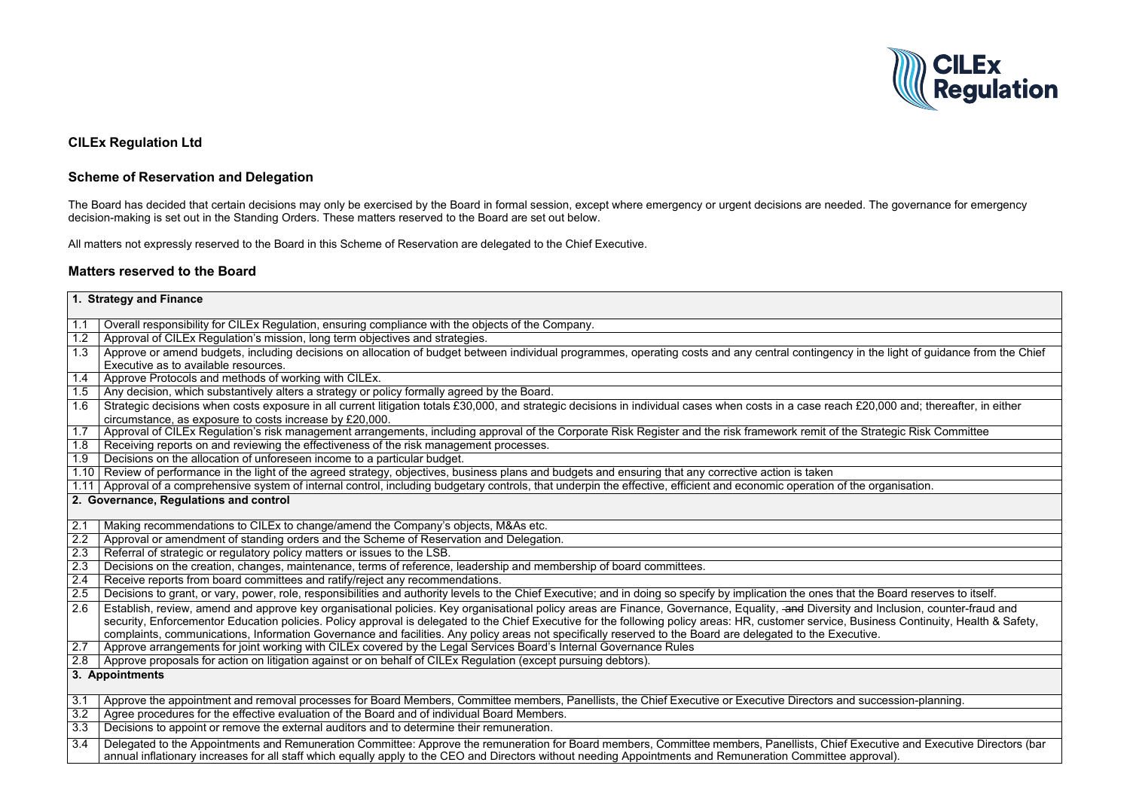## **CILEx Regulation Ltd**

## **Scheme of Reservation and Delegation**

The Board has decided that certain decisions may only be exercised by the Board in formal session, except where emergency or urgent decisions are needed. The governance for emergency decision-making is set out in the Standing Orders. These matters reserved to the Board are set out below.

All matters not expressly reserved to the Board in this Scheme of Reservation are delegated to the Chief Executive.

## **Matters reserved to the Board**

| 1. Strategy and Finance |                                                                                                                                                                                                                                                                                                                           |  |
|-------------------------|---------------------------------------------------------------------------------------------------------------------------------------------------------------------------------------------------------------------------------------------------------------------------------------------------------------------------|--|
| 1.1                     | Overall responsibility for CILEx Regulation, ensuring compliance with the objects of the Company.                                                                                                                                                                                                                         |  |
| 1.2                     | Approval of CILEx Regulation's mission, long term objectives and strategies.                                                                                                                                                                                                                                              |  |
| 1.3                     | Approve or amend budgets, including decisions on allocation of budget between individual programmes, operating costs and any central contingency in the light of guase                                                                                                                                                    |  |
|                         | Executive as to available resources.                                                                                                                                                                                                                                                                                      |  |
| 1.4                     | Approve Protocols and methods of working with CILEx.                                                                                                                                                                                                                                                                      |  |
| 1.5                     | Any decision, which substantively alters a strategy or policy formally agreed by the Board.                                                                                                                                                                                                                               |  |
| 1.6                     | Strategic decisions when costs exposure in all current litigation totals £30,000, and strategic decisions in individual cases when costs in a case reach £20,000 and; the                                                                                                                                                 |  |
|                         | circumstance, as exposure to costs increase by £20,000.                                                                                                                                                                                                                                                                   |  |
| 1.7                     | Approval of CILEx Regulation's risk management arrangements, including approval of the Corporate Risk Register and the risk framework remit of the Strategic Risk                                                                                                                                                         |  |
| 1.8                     | Receiving reports on and reviewing the effectiveness of the risk management processes.                                                                                                                                                                                                                                    |  |
| 1.9                     | Decisions on the allocation of unforeseen income to a particular budget.                                                                                                                                                                                                                                                  |  |
|                         | 1.10 Review of performance in the light of the agreed strategy, objectives, business plans and budgets and ensuring that any corrective action is taken                                                                                                                                                                   |  |
|                         | 1.11 Approval of a comprehensive system of internal control, including budgetary controls, that underpin the effective, efficient and economic operation of the organisation.                                                                                                                                             |  |
|                         | 2. Governance, Regulations and control                                                                                                                                                                                                                                                                                    |  |
| 2.1                     | Making recommendations to CILEx to change/amend the Company's objects, M&As etc.                                                                                                                                                                                                                                          |  |
| 2.2                     | Approval or amendment of standing orders and the Scheme of Reservation and Delegation.                                                                                                                                                                                                                                    |  |
| 2.3                     | Referral of strategic or regulatory policy matters or issues to the LSB.                                                                                                                                                                                                                                                  |  |
| 2.3                     | Decisions on the creation, changes, maintenance, terms of reference, leadership and membership of board committees.                                                                                                                                                                                                       |  |
| 2.4                     | Receive reports from board committees and ratify/reject any recommendations.                                                                                                                                                                                                                                              |  |
| 2.5                     | Decisions to grant, or vary, power, role, responsibilities and authority levels to the Chief Executive; and in doing so specify by implication the ones that the Board rese                                                                                                                                               |  |
| 2.6                     | Establish, review, amend and approve key organisational policies. Key organisational policy areas are Finance, Governance, Equality, and Diversity and Inclusion, c                                                                                                                                                       |  |
|                         | security, Enforcementor Education policies. Policy approval is delegated to the Chief Executive for the following policy areas: HR, customer service, Business Contin                                                                                                                                                     |  |
|                         | complaints, communications, Information Governance and facilities. Any policy areas not specifically reserved to the Board are delegated to the Executive.                                                                                                                                                                |  |
| 2.7                     | Approve arrangements for joint working with CILEx covered by the Legal Services Board's Internal Governance Rules                                                                                                                                                                                                         |  |
| 2.8                     | Approve proposals for action on litigation against or on behalf of CILEx Regulation (except pursuing debtors).                                                                                                                                                                                                            |  |
|                         | 3. Appointments                                                                                                                                                                                                                                                                                                           |  |
| 3.1                     | Approve the appointment and removal processes for Board Members, Committee members, Panellists, the Chief Executive or Executive Directors and succession-pla                                                                                                                                                             |  |
| 3.2                     | Agree procedures for the effective evaluation of the Board and of individual Board Members.                                                                                                                                                                                                                               |  |
| 3.3                     | Decisions to appoint or remove the external auditors and to determine their remuneration.                                                                                                                                                                                                                                 |  |
| 3.4                     | Delegated to the Appointments and Remuneration Committee: Approve the remuneration for Board members, Committee members, Panellists, Chief Executive and E<br>annual inflationary increases for all staff which equally apply to the CEO and Directors without needing Appointments and Remuneration Committee approval). |  |



in the light of guidance from the Chief

 $£20,000$  and; thereafter, in either

**Strategic Risk Committee** 

the Board reserves to itself. and Inclusion, counter-fraud and usiness Continuity, Health & Safety,

succession-planning.

xecutive and Executive Directors (bar